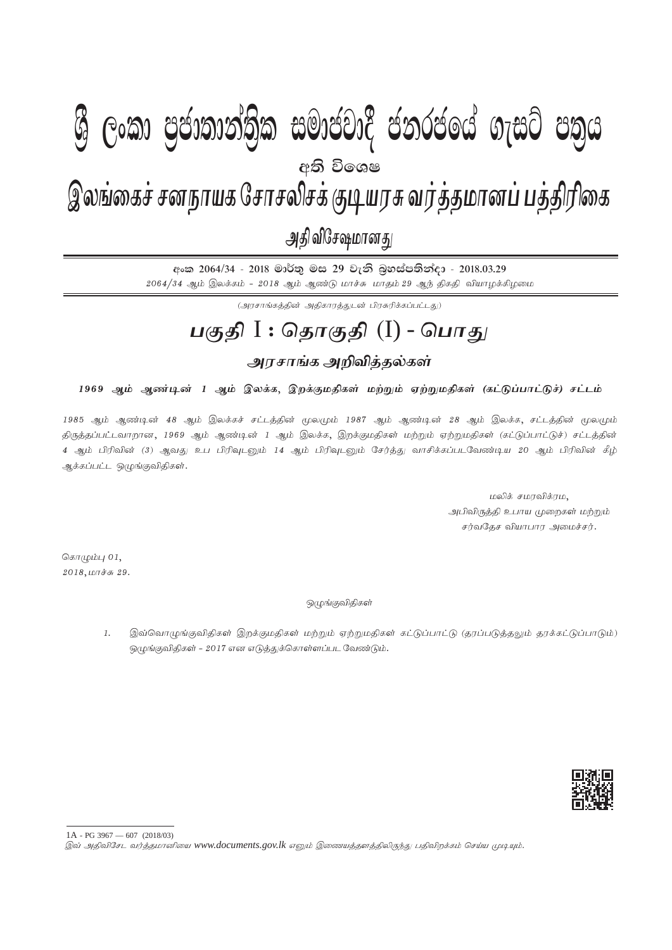# I **fldgi ( ^**I**& fPoh - Y S % ,xld m %cd;dk a; s %l iudcjd§ ckrcfh a w; s úfYI .eiÜ m; %h - 2018'03'29**  $\epsilon$   $\approx$   $\epsilon$   $\approx$   $\epsilon$   $\approx$   $\epsilon$   $\approx$   $\epsilon$   $\approx$   $\epsilon$   $\approx$   $\epsilon$   $\approx$   $\epsilon$   $\approx$   $\epsilon$   $\approx$   $\epsilon$   $\approx$   $\epsilon$   $\approx$   $\epsilon$   $\approx$   $\epsilon$   $\approx$   $\epsilon$   $\approx$   $\epsilon$   $\approx$   $\epsilon$   $\approx$   $\epsilon$   $\approx$   $\epsilon$   $\approx$   $\epsilon$   $\approx$   $\epsilon$   $\approx$   $\epsilon$   $\approx$   $\epsilon$   $\approx$  இலங்கைச் சனநாயக சோசலிசக் குடியரசு வர்த்தமானப் பத்திரிகை அதி விசேஷமானது **W Gey Genonoloky menegic concert nigh cold** අති වි**ං**ශෂ

අංක 2064/34 - 2018 මාර්තු මස 29 වැනි බුහස්පතින්දා - 2018.03.29  $2064/34$  ஆம் இலக்கம் -  $2018$  ஆம் ஆண்டு மாச்சு மாதம்  $29$  ஆந் திகதி வியாழக்கிழமை

(அரசாங்கக்கின் அதிகாரக்குடன் பிரசுரிக்கப்பட்டது)

## **gFjp** I : **njhFjp** (I) - **nghJ**

## <u>அரசாங்க அறிவித்த</u>ல்கள்

### 1969 ஆம் ஆண்டின் 1 ஆம் இலக்க, இறக்குமதிகள் மற்றும் ஏற்றுமதிகள் (கட்டுப்பாட்டுச்) சட்டம்

1985 ஆம் ஆண்டின் 48 ஆம் இலக்கச் சட்டத்தின் மூலமும் 1987 ஆம் ஆண்டின் 28 ஆம் இலக்க, சட்டத்தின் மூலமும் திருத்தப்பட்டவாறான, 1969 ஆம் ஆண்டின் 1 ஆம் இலக்க, இறக்குமதிகள் மற்றும் ஏற்றுமதிகள் (கட்டுப்பாட்டுச்) சட்டத்தின் 4 ஆம் பிரிவின் (3) ஆவது உப பிரிவுடனும் 14 ஆம் பிரிவுடனும் சேர்த்து வாசிக்கப்படவேண்டிய 20 ஆம் பிரிவின் கீழ் ஆக்கப்பட்ட ஒழுங்குவிதிகள்.

> மலிக் சமரவிக்ரம, அபிவிருத்தி உபாய முறைகள் மற்றும் சர்வதேச வியாபார அமைச்சர்.

கொழும்பு $01$ ,  $2018, \text{L}$ 

### ஒழுங்குவிதிகள்

1. இவ்வொழுங்குவிதிகள் இறக்குமதிகள் மற்றும் ஏற்றுமதிகள் கட்டுப்பாட்டு (தரப்படுத்தலும் தரக்கட்டுப்பாடும்)  $\mathcal{D}(\mu)$ ங்குவிதிகள் - 2017 என எடுத்துக்கொள்ளப்பட வேண்டும்.



<sup>1</sup>A - PG 3967 — 607 (2018/03)<br>இவ் அதிவிசேட வர்த்தமானியை www.documents.gov.lk எனும் இணையத்தளத்திலிருந்து பதிவிறக்கம் செய்ய முடியும்.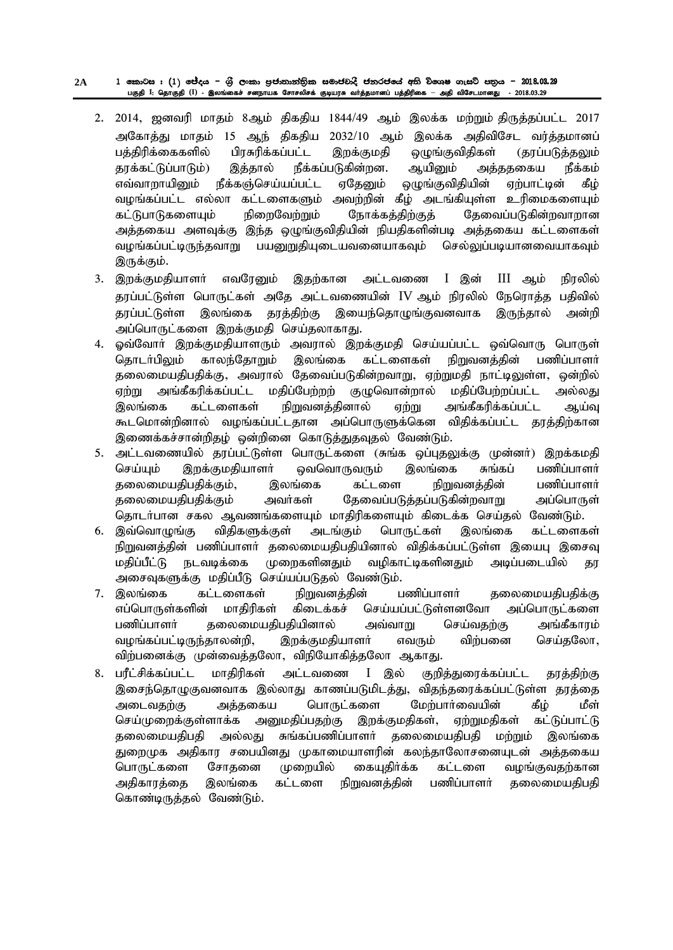#### $1$  කොටස :  $( 1)$  ජේදය – ශුී ලංකා පුජානාන්තිුක සමාජවාදී ජනරජයේ අති විශෙෂ ගැසට් පතුය –  $2018.03.29$ gFjp **I**: njhFjp **(I)** - ,yq;ifr; rdehaf Nrhryprf; FbauR tHj ;jkhdg ; gj ;jpupif **–** mjp tpNrlkhdJ - 2018.03.29 **2A**

- $2.$   $2014$ , ஜனவரி மாகம்  $8$ ஆம் கிகதிய  $1844/49$  ஆம் இலக்க மற்றும் திருத்தப்பட்ட  $2017$ அகோத்து மாதம் 15 ஆந் திகதிய 2032/10 ஆம் இலக்க அதிவிசேட வர்த்தமானப் பத்திரிக்கைகளில் பிரசுரிக்கப்பட்ட இறக்குமதி ஒழுங்குவிதிகள் (தரப்படுத்தலும் தரக்கட்டுப்பாடும்) இத்தால் நீக்கப்படுகின்றன. ஆயினும் அத்ததகைய நீக்கம் எவ்வாறாயினும் நீக்கஞ்செய்யப்பட்ட ஏதேனும் ஒழுங்குவிதியின் ஏற்பாட்டின் கீழ் ்வழங்கப்பட்ட எல்லா கட்டளைகளும் அவற்றின் கீழ் அடங்கியுள்ள உரிமைகளையும் கட்டுபாடுகளையும் நிறைவேற்றும் நோக்கத்திற்குத் தேவைப்படுகின்றவாறான அத்தகைய அளவுக்கு இந்த ஒழுங்குவிதியின் நியதிகளின்படி அத்தகைய கட்டளைகள் வழங்கப்பட்டிருந்தவாறு பயனுறுகியுடையவனையாகவும் செல்லுப்படியானவையாகவும் இருக்கும்.
- 3. இறக்குமதியாளர் எவரேனும் இதற்கான அட்டவணை I இன் III ஆம் நிரலில் தரப்பட்டுள்ள பொருட்கள் அதே அட்டவணையின் IV ஆம் நிரலில் நேரொத்த பதிவில் தரப்பட்டுள்ள இலங்கை தரத்திற்கு இயைந்தொழுங்குவனவாக இருந்தால் அன்றி அப்பொருட்களை இறக்குமதி செய்தலாகாது.
- 4. ஓவ்வோர் இறக்குமதியாளரும் அவரால் இறக்குமதி செய்யப்பட்ட ஒவ்வொரு பொருள் தொடர்பிலும் காலந்தோறும் இலங்கை கட்டளைகள் நிறுவனத்தின் பணிப்பாளர் தலைமையதிபதிக்கு, அவரால் தேவைப்படுகின்றவாறு, ஏற்றுமதி நாட்டிலுள்ள, ஒன்றில் ஏற்று அங்கீகரிக்கப்பட்ட மதிப்பேற்றற் குழுவொன்றால் மதிப்பேற்றப்பட்ட அல்லது இலங்கை கட்டளைகள் நிறுவனத்தினால் ஏற்று அங்கீகரிக்கப்பட்ட ஆய்வு கூடமொன்றினால் வழங்கப்பட்டதான அப்பொருளுக்கென விதிக்கப்பட்ட தரத்திற்கான இணைக்கச்சான்றிதழ் ஒன்றினை கொடுத்துதவுதல் வேண்டும்.
- 5. அட்டவணையில் தரப்பட்டுள்ள பொருட்களை (சுங்க ஒப்புதலுக்கு முன்னர்) இறக்கமதி செய்யும் இறக்குமதியாளா் வெவொருவரும் இலங்கை சுங்கப் பணிப்பாளா் தலைமையதிபதிக்கும், இலங்கை கட்டளை நிறுவனத்தின் பணிப்பாளர் தலைமையதிபதிக்கும் அவர்கள் தேவைப்படுத்தப்படுகின்றவாறு அப்பொருள் தொடர்பான சகல ஆவணங்களையும் மாகிரிகளையும் கிடைக்க செய்கல் வேண்டும்.
- 6. இவ்வொழுங்கு விதிகளுக்குள் அடங்கும் பொருட்கள் இலங்கை கட்டளைகள் நிறுவனத்தின் பணிப்பாளர் தலைமையதிபதியினால் விதிக்கப்பட்டுள்ள இயைபு இசைவு மதிப்பீட்டு நடவடிக்கை முறைகளினதும் வழிகாட்டிகளினதும் அடிப்படையில் கா அசைவுகளுக்கு மதிப்பீடு செய்யப்படுதல் வேண்டும்.
- 7. இலங்கை கட்டளைகள் நிறுவனத்தின் பணிப்பாளர் தலைமையதிபதிக்கு எப்பொருள்களின் மாதிரிகள் கிடைக்கச் செய்யப்பட்டுள்ளனவோ அப்பொருட்களை பணிப்பாளர் தலைமையதிபதியினால் அவ்வாறு செய்வதற்கு அங்கீகாரம் வழங்கப்பட்டிருந்தாலன்றி, இறக்குமதியாளர் எவரும் விற்பனை செய்தலோ, விற்பனைக்கு முன்வைத்தலோ, விநியோகித்தலோ ஆகாது.
- 8. பரீட்சிக்கப்பட்ட மாதிரிகள் அட்டவணை I இல் குறித்துரைக்கப்பட்ட தரத்திற்கு இசைந்தொழுகுவனவாக இல்லாது காணப்படுமிடத்து, விதந்தரைக்கப்பட்டுள்ள தரத்தை அடைவதற்கு அத்தகைய பொருட்களை மேற்பார்வையின் கீழ் மீள் செய்முறைக்குள்ளாக்க அனுமதிப்பதற்கு இறக்குமதிகள், ஏற்றுமதிகள் கட்டுப்பாட்டு தலைமையதிபதி அல்லது சுங்கப்பணிப்பாளர் தலைமையதிபதி மற்றும் இலங்கை துறைமுக அதிகார சபையினது முகாமையாளரின் கலந்தாலோசனையுடன் அத்தகைய பொருட்களை சோதனை முறையில் கையுதிர்க்க கட்டளை வழங்குவதற்கான அதிகாரத்தை இலங்கை கட்டளை நிறுவனத்தின் பணிப்பாளர் தலைமையதிபதி கொண்டிருத்தல் வேண்டும்.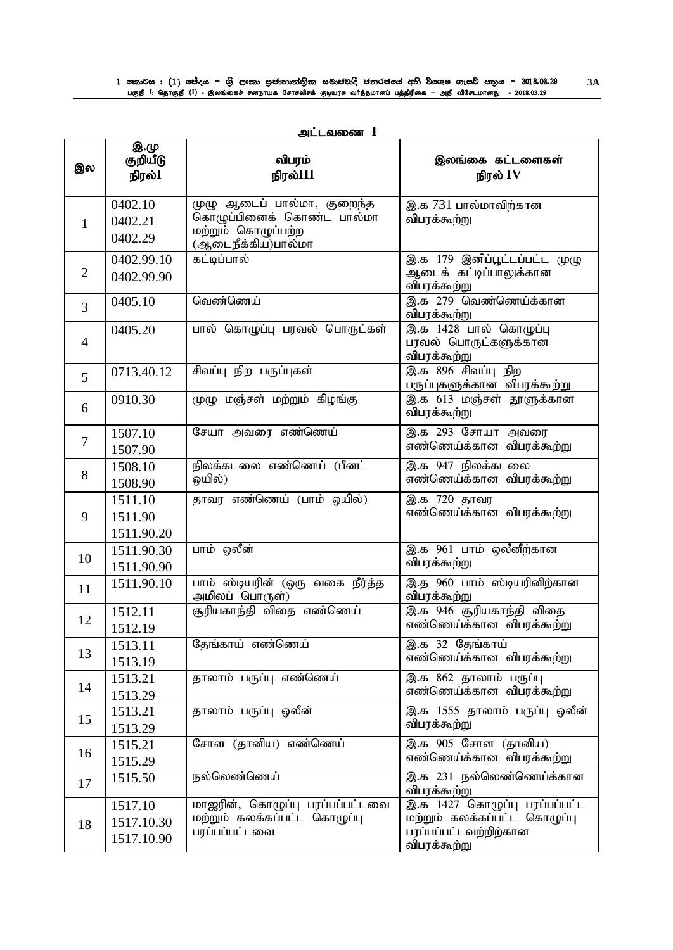| அடடவணை |  |
|--------|--|
|        |  |

| இல             | இ.மு<br>குறியீடு<br>நிரல் $\mathbf I$ | விபரம்<br>நிரல்III                                                                                                  | இலங்கை கட்டளைகள்<br>நிரல் IV                                                                                      |
|----------------|---------------------------------------|---------------------------------------------------------------------------------------------------------------------|-------------------------------------------------------------------------------------------------------------------|
| $\mathbf{1}$   | 0402.10<br>0402.21<br>0402.29         | $\overline{\psi}$ ழு ஆடைப் பால்மா, குறைந்த<br>கொழுப்பினைக் கொண்ட பால்மா<br>மற்றும் கொழுப்பற்ற<br>(ஆடைநீக்கிய)பால்மா | இ.க 731 பால்மாவிற்கான<br>விபரக்கூற்று                                                                             |
| $\overline{2}$ | 0402.99.10<br>0402.99.90              | கட்டிப்பால்                                                                                                         | இ.க 179 இனிப்பூட்டப்பட்ட முழு<br>ஆடைக் கட்டிப்பாலுக்கான<br>விபரக்கூற்று                                           |
| $\overline{3}$ | 0405.10                               | வெண்ணெய்                                                                                                            | இ.க 279 வெண்ணெய்க்கான<br>விபரக்கூற்று                                                                             |
| $\overline{4}$ | 0405.20                               | பால் கொழுப்பு பரவல் பொருட்கள்                                                                                       | இ.க 1428 பால் கொழுப்பு<br>பரவல் பொருட்களுக்கான<br>விபரக்கூற்று                                                    |
| 5              | 0713.40.12                            | சிவப்பு நிற பருப்புகள்                                                                                              | இ.க 896 சிவப்பு நிற<br>பருப்புகளுக்கான விபரக்கூற்று                                                               |
| 6              | 0910.30                               | முழு மஞ்சள் மற்றும் கிழங்கு                                                                                         | இ.க 613 மஞ்சள் தூளுக்கான<br>விபரக்கூற்று                                                                          |
| $\overline{7}$ | 1507.10<br>1507.90                    | சேயா அவரை எண்ணெய்                                                                                                   | இ.க 293 சோயா அவரை<br>எண்ணெய்க்கான விபரக்கூற்று                                                                    |
| 8              | 1508.10<br>1508.90                    | நிலக்கடலை எண்ணெய் (பீனட்<br>ஒயில்)                                                                                  | இ.க 947 நிலக்கடலை<br>எண்ணெய்க்கான விபரக்கூற்று                                                                    |
| 9              | 1511.10<br>1511.90<br>1511.90.20      | தாவர எண்ணெய் (பாம் ஒயில்)                                                                                           | இ.க 720 தாவர<br>எண்ணெய்க்கான விபரக்கூற்று                                                                         |
| 10             | 1511.90.30<br>1511.90.90              | பாம் ஒலீன்                                                                                                          | இ.க 961 பாம் ஒலீனீற்கான<br>விபரக்கூற்று                                                                           |
| 11             | 1511.90.10                            | பாம் ஸ்டியரின் (ஒரு வகை நீர்த்த<br>அமிலப் பொருள்)                                                                   | இ.த 960 பாம் ஸ்டியரினிற்கான<br>விபரக்கூற்று                                                                       |
| 12             | 1512.11<br>1512.19                    | சூரியகாந்தி விதை எண்ணெய்                                                                                            | இ.க 946 சூரியகாந்தி விதை<br>எண்ணெய்க்கான விபரக்கூற்று                                                             |
| 13             | 1513.11<br>1513.19                    | தேங்காய் எண்ணெய்                                                                                                    | இ.க 32 தேங்காய்<br>எண்ணெய்க்கான விபரக்கூற்று                                                                      |
| 14             | 1513.21<br>1513.29                    | தாலாம் பருப்பு எண்ணெய்                                                                                              | இ.க 862 தாலாம் பருப்பு<br>எண்ணெய்க்கான விபரக்கூற்று                                                               |
| 15             | 1513.21<br>1513.29                    | தாலாம் பருப்பு ஒலீன்                                                                                                | இ.க 1555 தாலாம் பருப்பு ஒலீன்<br>விபரக்கூற்று                                                                     |
| 16             | 1515.21<br>1515.29                    | சோள (தானிய) எண்ணெய்                                                                                                 | இ.க 905 சோள (தானிய)<br>எண்ணெய்க்கான விபரக்கூற்று                                                                  |
| 17             | 1515.50                               | நல்லெண்ணெய்                                                                                                         | இ.க 231 நல்லெண்ணெய்க்கான<br>விபரக்கூற்று                                                                          |
| 18             | 1517.10<br>1517.10.30<br>1517.10.90   | மாஜரின், கொழுப்பு பரப்பப்பட்டவை<br>மற்றும் கலக்கப்பட்ட கொழுப்பு<br>பரப்பப்பட்டவை                                    | இ.க <sup>1427</sup> கொழுப்பு பரப்பப்பட்ட<br>மற்றும் கலக்கப்பட்ட கொழுப்பு<br>பரப்பப்பட்டவற்றிற்கான<br>விபரக்கூற்று |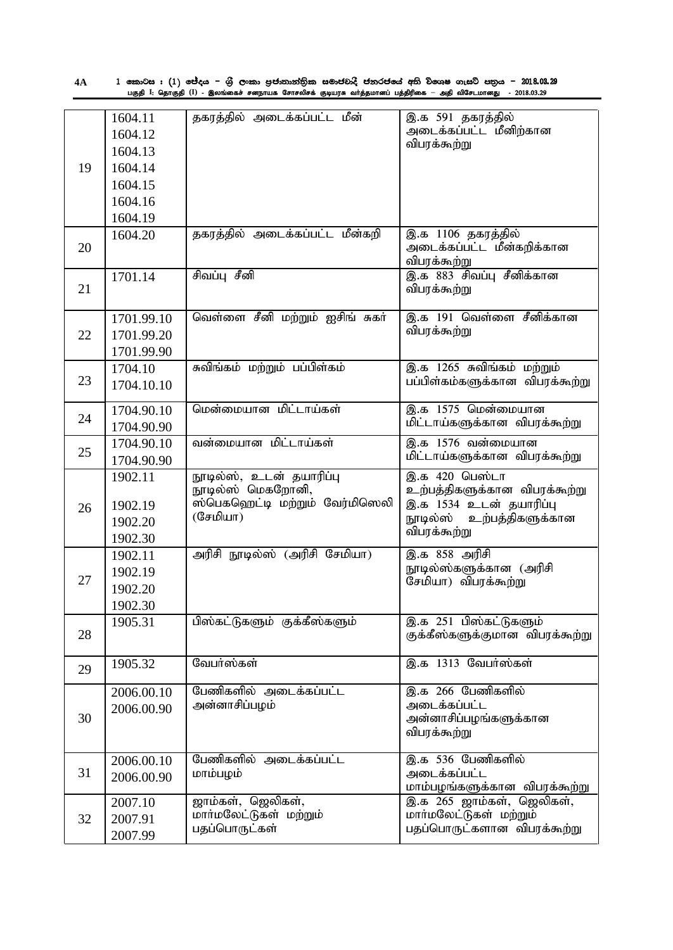| 4А | 1 කොටස : (1) ජේදය – ශුී ලංකා පුජාතාන්තික සමාජවාදී ජනරජයේ අති විශෙෂ ගැසට් පතුය – 2018.08.29                   |
|----|--------------------------------------------------------------------------------------------------------------|
|    | பகுதி I: தொகுதி (I) - இலங்கைச் சனநாயக சோசலிசக் குடியரசு வர்த்தமானப் பத்திரிகை — அதி விசேடமானது  - 2018.03.29 |

|    | 1604.11<br>1604.12 | தகரத்தில் அடைக்கப்பட்ட மீன்                | இ.க 591 தகரத்தில்<br>அடைக்கப்பட்ட மீனிற்கான                |
|----|--------------------|--------------------------------------------|------------------------------------------------------------|
|    | 1604.13            |                                            | விபரக்கூற்று                                               |
| 19 | 1604.14            |                                            |                                                            |
|    | 1604.15            |                                            |                                                            |
|    | 1604.16            |                                            |                                                            |
|    | 1604.19            |                                            |                                                            |
|    | 1604.20            | தகரத்தில் அடைக்கப்பட்ட மீன்கறி             | இ.க 1106 தகரத்தில்                                         |
| 20 |                    |                                            | அடைக்கப்பட்ட மீன்கறிக்கான                                  |
|    | 1701.14            | சிவப்பு சீனி                               | விபரக்கூற்று<br>இ.க 883 சிவப்பு சீனிக்கான                  |
| 21 |                    |                                            | விபரக்கூற்று                                               |
|    |                    |                                            |                                                            |
|    | 1701.99.10         | வெள்ளை சீனி மற்றும் ஐசிங் சுகர்            | இ.க 191 வெள்ளை சீனிக்கான                                   |
| 22 | 1701.99.20         |                                            | விபரக்கூற்று                                               |
|    | 1701.99.90         |                                            |                                                            |
|    | 1704.10            | சுவிங்கம் மற்றும் பப்பிள்கம்               | இ.க 1265 சுவிங்கம் மற்றும்                                 |
| 23 | 1704.10.10         |                                            | பப்பிள்கம்களுக்கான விபரக்கூற்று                            |
|    | 1704.90.10         | மென்மையான மிட்டாய்கள்                      | இ.க 1575 மென்மையான                                         |
| 24 | 1704.90.90         |                                            | மிட்டாய்களுக்கான விபரக்கூற்று                              |
|    | 1704.90.10         | வன்மையான மிட்டாய்கள்                       | இ.க 1576 வன்மையான                                          |
| 25 | 1704.90.90         |                                            | மிட்டாய்களுக்கான விபரக்கூற்று                              |
|    | 1902.11            | நூடில்ஸ், உடன் தயாரிப்பு                   | இ.க 420 பெஸ்டா                                             |
|    |                    | நூடில்ஸ் மெகறோனி,                          | உற்பத்திகளுக்கான விபரக்கூற்று                              |
| 26 | 1902.19            | ஸ்பெகஹெட்டி மற்றும் வேர்மிஸெலி<br>(சேமியா) | இ.க 1534 உடன் தயாரிப்பு<br>நூடில்ஸ் உற்பத்திகளுக்கான       |
|    | 1902.20            |                                            | விபரக்கூற்று                                               |
|    | 1902.30            | அரிசி நூடில்ஸ் (அரிசி சேமியா)              | இ.க 858 அரிசி                                              |
|    | 1902.11            |                                            | நூடில்ஸ்களுக்கான (அரிசி                                    |
| 27 | 1902.19<br>1902.20 |                                            | சேமியா) விபரக்கூற்று                                       |
|    | 1902.30            |                                            |                                                            |
|    | 1905.31            | பிஸ்கட்டுகளும் குக்கீஸ்களும்               | இ.க 251 பிஸ்கட்டுகளும்                                     |
| 28 |                    |                                            | குக்கீஸ்களுக்குமான விபரக்கூற்று                            |
|    |                    |                                            |                                                            |
| 29 | 1905.32            | வேபர்ஸ்கள்                                 | இ.க 1313 வேபர்ஸ்கள்                                        |
|    | 2006.00.10         | பேணிகளில் அடைக்கப்பட்ட                     | இ.க 266 பேணிகளில்                                          |
|    | 2006.00.90         | அன்னாசிப்பழம்                              | அடைக்கப்பட்ட                                               |
| 30 |                    |                                            | அன்னாசிப்பழங்களுக்கான<br>விபரக்கூற்று                      |
|    |                    |                                            |                                                            |
|    | 2006.00.10         | <u>பேணிகளில் அ</u> டைக்கப்பட்ட             | இ.க 536 பேணிகளில்                                          |
| 31 | 2006.00.90         | மாம்பழம்                                   | அடைக்கப்பட்ட                                               |
|    | 2007.10            | ஜாம்கள், ஜெலிகள்,                          | மாம்பழங்களுக்கான விபரக்கூற்று<br>இ.க 265 ஜாம்கள், ஜெலிகள், |
| 32 | 2007.91            | மார்மலேட்டுகள் மற்றும்                     | மார்மலேட்டுகள் மற்றும்                                     |
|    | 2007.99            | பதப்பொருட்கள்                              | பதப்பொருட்களான விபரக்கூற்று                                |
|    |                    |                                            |                                                            |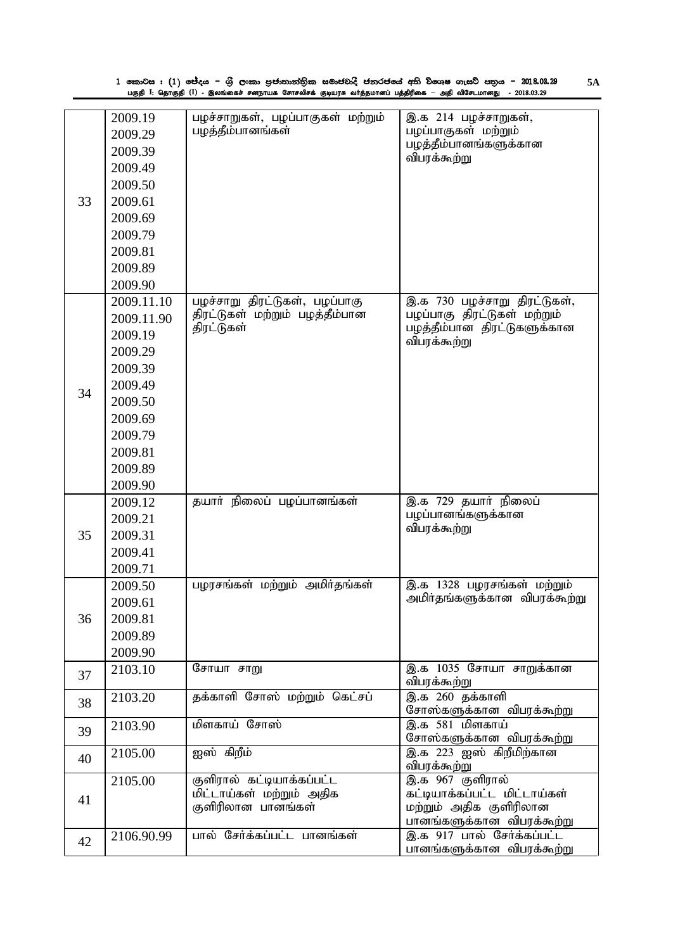| பழச்சாறுகள், பழப்பாகுகள் மற்றும்<br>இ.க 214 பழச்சாறுகள்,<br>2009.19<br>பழத்தீம்பானங்கள்<br>பழப்பாகுகள் மற்றும்<br>2009.29<br>பழத்தீம்பானங்களுக்கான<br>2009.39<br>விபரக்கூற்று<br>2009.49<br>2009.50<br>33<br>2009.61<br>2009.69<br>2009.79<br>2009.81<br>2009.89<br>2009.90<br>பழச்சாறு திரட்டுகள், பழப்பாகு<br>இ.க 730 பழச்சாறு திரட்டுகள்,<br>2009.11.10<br>பழப்பாகு திரட்டுகள் மற்றும்<br>திரட்டுகள் மற்றும் பழத்தீம்பான<br>2009.11.90<br>திரட்டுகள்<br>பழத்தீம்பான திரட்டுகளுக்கான<br>2009.19<br>விபரக்கூற்று<br>2009.29<br>2009.39<br>2009.49<br>34<br>2009.50<br>2009.69<br>2009.79<br>2009.81<br>2009.89<br>2009.90<br>தயார் நிலைப் பழப்பானங்கள்<br>இ.க 729 தயார் நிலைப்<br>2009.12<br>பழப்பானங்களுக்கான<br>2009.21<br>விபரக்கூற்று<br>35<br>2009.31<br>2009.41<br>2009.71<br>பழரசங்கள் மற்றும் அமிர்தங்கள்<br>இ.க $13\overline{28}$ பழரசங்கள் மற்றும்<br>2009.50<br>அமிா்தங்களுக்கான விபரக்கூற்று<br>2009.61<br>36<br>2009.81<br>2009.89<br>2009.90<br>இ.க 1035 சோயா சாறுக்கான<br>சோயா சாறு<br>2103.10<br>37<br>விபரக்கூற்று<br>இ.க <sup>260</sup> தக்காளி<br>தக்காளி சோஸ் மற்றும் கெட்சப்<br>2103.20<br>38<br>சோஸ்களுக்கான விபரக்கூற்று<br>மிளகாய் சோஸ்<br>இ.க 581 மிளகாய்<br>2103.90<br>39<br>சோஸ்களுக்கான விபரக்கூற்று<br>ஐஸ் கிறீம்<br>இ.க 223 ஐஸ் கிறீமிற்கான<br>2105.00<br>40<br>விபரக்கூற்று<br>இ.க 967 குளிரால்<br>குளிரால் கட்டியாக்கப்பட்ட<br>2105.00<br>மிட்டாய்கள் மற்றும் அதிக<br>கட்டியாக்கப்பட்ட மிட்டாய்கள்<br>41<br>குளிரிலான பானங்கள்<br>மற்றும் அதிக குளிரிலான<br>பானங்களுக்கான விபரக்கூற்று<br>இ.க 917 பால் சேர்க்கப்பட்ட<br>பால் சேர்க்கப்பட்ட பானங்கள்<br>2106.90.99<br>42<br>பானங்களுக்கான விபரக்கூற்று | 1 කොටස : (1) ජේදය – ශුී ලංකා පුජාතාන්තික සමාජවාදී ජනරජයේ අති විශෙෂ ගැසට් පතුය – 2018.03.29<br>5A<br>பகுதி I: தொகுதி (I) - இலங்கைச் சனநாயக சோசலிசக் குடியரசு வர்த்தமானப் பத்திரிகை — அதி விசேடமானது  - 2018.03.29 |  |  |  |  |  |
|----------------------------------------------------------------------------------------------------------------------------------------------------------------------------------------------------------------------------------------------------------------------------------------------------------------------------------------------------------------------------------------------------------------------------------------------------------------------------------------------------------------------------------------------------------------------------------------------------------------------------------------------------------------------------------------------------------------------------------------------------------------------------------------------------------------------------------------------------------------------------------------------------------------------------------------------------------------------------------------------------------------------------------------------------------------------------------------------------------------------------------------------------------------------------------------------------------------------------------------------------------------------------------------------------------------------------------------------------------------------------------------------------------------------------------------------------------------------------------------------------------------------------------------------------------------------------------------------------------------------------------------|------------------------------------------------------------------------------------------------------------------------------------------------------------------------------------------------------------------|--|--|--|--|--|
|                                                                                                                                                                                                                                                                                                                                                                                                                                                                                                                                                                                                                                                                                                                                                                                                                                                                                                                                                                                                                                                                                                                                                                                                                                                                                                                                                                                                                                                                                                                                                                                                                                        |                                                                                                                                                                                                                  |  |  |  |  |  |
|                                                                                                                                                                                                                                                                                                                                                                                                                                                                                                                                                                                                                                                                                                                                                                                                                                                                                                                                                                                                                                                                                                                                                                                                                                                                                                                                                                                                                                                                                                                                                                                                                                        |                                                                                                                                                                                                                  |  |  |  |  |  |
|                                                                                                                                                                                                                                                                                                                                                                                                                                                                                                                                                                                                                                                                                                                                                                                                                                                                                                                                                                                                                                                                                                                                                                                                                                                                                                                                                                                                                                                                                                                                                                                                                                        |                                                                                                                                                                                                                  |  |  |  |  |  |
|                                                                                                                                                                                                                                                                                                                                                                                                                                                                                                                                                                                                                                                                                                                                                                                                                                                                                                                                                                                                                                                                                                                                                                                                                                                                                                                                                                                                                                                                                                                                                                                                                                        |                                                                                                                                                                                                                  |  |  |  |  |  |
|                                                                                                                                                                                                                                                                                                                                                                                                                                                                                                                                                                                                                                                                                                                                                                                                                                                                                                                                                                                                                                                                                                                                                                                                                                                                                                                                                                                                                                                                                                                                                                                                                                        |                                                                                                                                                                                                                  |  |  |  |  |  |
|                                                                                                                                                                                                                                                                                                                                                                                                                                                                                                                                                                                                                                                                                                                                                                                                                                                                                                                                                                                                                                                                                                                                                                                                                                                                                                                                                                                                                                                                                                                                                                                                                                        |                                                                                                                                                                                                                  |  |  |  |  |  |
|                                                                                                                                                                                                                                                                                                                                                                                                                                                                                                                                                                                                                                                                                                                                                                                                                                                                                                                                                                                                                                                                                                                                                                                                                                                                                                                                                                                                                                                                                                                                                                                                                                        |                                                                                                                                                                                                                  |  |  |  |  |  |
|                                                                                                                                                                                                                                                                                                                                                                                                                                                                                                                                                                                                                                                                                                                                                                                                                                                                                                                                                                                                                                                                                                                                                                                                                                                                                                                                                                                                                                                                                                                                                                                                                                        |                                                                                                                                                                                                                  |  |  |  |  |  |
|                                                                                                                                                                                                                                                                                                                                                                                                                                                                                                                                                                                                                                                                                                                                                                                                                                                                                                                                                                                                                                                                                                                                                                                                                                                                                                                                                                                                                                                                                                                                                                                                                                        |                                                                                                                                                                                                                  |  |  |  |  |  |
|                                                                                                                                                                                                                                                                                                                                                                                                                                                                                                                                                                                                                                                                                                                                                                                                                                                                                                                                                                                                                                                                                                                                                                                                                                                                                                                                                                                                                                                                                                                                                                                                                                        |                                                                                                                                                                                                                  |  |  |  |  |  |
|                                                                                                                                                                                                                                                                                                                                                                                                                                                                                                                                                                                                                                                                                                                                                                                                                                                                                                                                                                                                                                                                                                                                                                                                                                                                                                                                                                                                                                                                                                                                                                                                                                        |                                                                                                                                                                                                                  |  |  |  |  |  |
|                                                                                                                                                                                                                                                                                                                                                                                                                                                                                                                                                                                                                                                                                                                                                                                                                                                                                                                                                                                                                                                                                                                                                                                                                                                                                                                                                                                                                                                                                                                                                                                                                                        |                                                                                                                                                                                                                  |  |  |  |  |  |
|                                                                                                                                                                                                                                                                                                                                                                                                                                                                                                                                                                                                                                                                                                                                                                                                                                                                                                                                                                                                                                                                                                                                                                                                                                                                                                                                                                                                                                                                                                                                                                                                                                        |                                                                                                                                                                                                                  |  |  |  |  |  |
|                                                                                                                                                                                                                                                                                                                                                                                                                                                                                                                                                                                                                                                                                                                                                                                                                                                                                                                                                                                                                                                                                                                                                                                                                                                                                                                                                                                                                                                                                                                                                                                                                                        |                                                                                                                                                                                                                  |  |  |  |  |  |
|                                                                                                                                                                                                                                                                                                                                                                                                                                                                                                                                                                                                                                                                                                                                                                                                                                                                                                                                                                                                                                                                                                                                                                                                                                                                                                                                                                                                                                                                                                                                                                                                                                        |                                                                                                                                                                                                                  |  |  |  |  |  |
|                                                                                                                                                                                                                                                                                                                                                                                                                                                                                                                                                                                                                                                                                                                                                                                                                                                                                                                                                                                                                                                                                                                                                                                                                                                                                                                                                                                                                                                                                                                                                                                                                                        |                                                                                                                                                                                                                  |  |  |  |  |  |
|                                                                                                                                                                                                                                                                                                                                                                                                                                                                                                                                                                                                                                                                                                                                                                                                                                                                                                                                                                                                                                                                                                                                                                                                                                                                                                                                                                                                                                                                                                                                                                                                                                        |                                                                                                                                                                                                                  |  |  |  |  |  |
|                                                                                                                                                                                                                                                                                                                                                                                                                                                                                                                                                                                                                                                                                                                                                                                                                                                                                                                                                                                                                                                                                                                                                                                                                                                                                                                                                                                                                                                                                                                                                                                                                                        |                                                                                                                                                                                                                  |  |  |  |  |  |
|                                                                                                                                                                                                                                                                                                                                                                                                                                                                                                                                                                                                                                                                                                                                                                                                                                                                                                                                                                                                                                                                                                                                                                                                                                                                                                                                                                                                                                                                                                                                                                                                                                        |                                                                                                                                                                                                                  |  |  |  |  |  |
|                                                                                                                                                                                                                                                                                                                                                                                                                                                                                                                                                                                                                                                                                                                                                                                                                                                                                                                                                                                                                                                                                                                                                                                                                                                                                                                                                                                                                                                                                                                                                                                                                                        |                                                                                                                                                                                                                  |  |  |  |  |  |
|                                                                                                                                                                                                                                                                                                                                                                                                                                                                                                                                                                                                                                                                                                                                                                                                                                                                                                                                                                                                                                                                                                                                                                                                                                                                                                                                                                                                                                                                                                                                                                                                                                        |                                                                                                                                                                                                                  |  |  |  |  |  |
|                                                                                                                                                                                                                                                                                                                                                                                                                                                                                                                                                                                                                                                                                                                                                                                                                                                                                                                                                                                                                                                                                                                                                                                                                                                                                                                                                                                                                                                                                                                                                                                                                                        |                                                                                                                                                                                                                  |  |  |  |  |  |
|                                                                                                                                                                                                                                                                                                                                                                                                                                                                                                                                                                                                                                                                                                                                                                                                                                                                                                                                                                                                                                                                                                                                                                                                                                                                                                                                                                                                                                                                                                                                                                                                                                        |                                                                                                                                                                                                                  |  |  |  |  |  |
|                                                                                                                                                                                                                                                                                                                                                                                                                                                                                                                                                                                                                                                                                                                                                                                                                                                                                                                                                                                                                                                                                                                                                                                                                                                                                                                                                                                                                                                                                                                                                                                                                                        |                                                                                                                                                                                                                  |  |  |  |  |  |
|                                                                                                                                                                                                                                                                                                                                                                                                                                                                                                                                                                                                                                                                                                                                                                                                                                                                                                                                                                                                                                                                                                                                                                                                                                                                                                                                                                                                                                                                                                                                                                                                                                        |                                                                                                                                                                                                                  |  |  |  |  |  |
|                                                                                                                                                                                                                                                                                                                                                                                                                                                                                                                                                                                                                                                                                                                                                                                                                                                                                                                                                                                                                                                                                                                                                                                                                                                                                                                                                                                                                                                                                                                                                                                                                                        |                                                                                                                                                                                                                  |  |  |  |  |  |
|                                                                                                                                                                                                                                                                                                                                                                                                                                                                                                                                                                                                                                                                                                                                                                                                                                                                                                                                                                                                                                                                                                                                                                                                                                                                                                                                                                                                                                                                                                                                                                                                                                        |                                                                                                                                                                                                                  |  |  |  |  |  |
|                                                                                                                                                                                                                                                                                                                                                                                                                                                                                                                                                                                                                                                                                                                                                                                                                                                                                                                                                                                                                                                                                                                                                                                                                                                                                                                                                                                                                                                                                                                                                                                                                                        |                                                                                                                                                                                                                  |  |  |  |  |  |
|                                                                                                                                                                                                                                                                                                                                                                                                                                                                                                                                                                                                                                                                                                                                                                                                                                                                                                                                                                                                                                                                                                                                                                                                                                                                                                                                                                                                                                                                                                                                                                                                                                        |                                                                                                                                                                                                                  |  |  |  |  |  |
|                                                                                                                                                                                                                                                                                                                                                                                                                                                                                                                                                                                                                                                                                                                                                                                                                                                                                                                                                                                                                                                                                                                                                                                                                                                                                                                                                                                                                                                                                                                                                                                                                                        |                                                                                                                                                                                                                  |  |  |  |  |  |
|                                                                                                                                                                                                                                                                                                                                                                                                                                                                                                                                                                                                                                                                                                                                                                                                                                                                                                                                                                                                                                                                                                                                                                                                                                                                                                                                                                                                                                                                                                                                                                                                                                        |                                                                                                                                                                                                                  |  |  |  |  |  |
|                                                                                                                                                                                                                                                                                                                                                                                                                                                                                                                                                                                                                                                                                                                                                                                                                                                                                                                                                                                                                                                                                                                                                                                                                                                                                                                                                                                                                                                                                                                                                                                                                                        |                                                                                                                                                                                                                  |  |  |  |  |  |
|                                                                                                                                                                                                                                                                                                                                                                                                                                                                                                                                                                                                                                                                                                                                                                                                                                                                                                                                                                                                                                                                                                                                                                                                                                                                                                                                                                                                                                                                                                                                                                                                                                        |                                                                                                                                                                                                                  |  |  |  |  |  |
|                                                                                                                                                                                                                                                                                                                                                                                                                                                                                                                                                                                                                                                                                                                                                                                                                                                                                                                                                                                                                                                                                                                                                                                                                                                                                                                                                                                                                                                                                                                                                                                                                                        |                                                                                                                                                                                                                  |  |  |  |  |  |
|                                                                                                                                                                                                                                                                                                                                                                                                                                                                                                                                                                                                                                                                                                                                                                                                                                                                                                                                                                                                                                                                                                                                                                                                                                                                                                                                                                                                                                                                                                                                                                                                                                        |                                                                                                                                                                                                                  |  |  |  |  |  |
|                                                                                                                                                                                                                                                                                                                                                                                                                                                                                                                                                                                                                                                                                                                                                                                                                                                                                                                                                                                                                                                                                                                                                                                                                                                                                                                                                                                                                                                                                                                                                                                                                                        |                                                                                                                                                                                                                  |  |  |  |  |  |
|                                                                                                                                                                                                                                                                                                                                                                                                                                                                                                                                                                                                                                                                                                                                                                                                                                                                                                                                                                                                                                                                                                                                                                                                                                                                                                                                                                                                                                                                                                                                                                                                                                        |                                                                                                                                                                                                                  |  |  |  |  |  |
|                                                                                                                                                                                                                                                                                                                                                                                                                                                                                                                                                                                                                                                                                                                                                                                                                                                                                                                                                                                                                                                                                                                                                                                                                                                                                                                                                                                                                                                                                                                                                                                                                                        |                                                                                                                                                                                                                  |  |  |  |  |  |
|                                                                                                                                                                                                                                                                                                                                                                                                                                                                                                                                                                                                                                                                                                                                                                                                                                                                                                                                                                                                                                                                                                                                                                                                                                                                                                                                                                                                                                                                                                                                                                                                                                        |                                                                                                                                                                                                                  |  |  |  |  |  |
|                                                                                                                                                                                                                                                                                                                                                                                                                                                                                                                                                                                                                                                                                                                                                                                                                                                                                                                                                                                                                                                                                                                                                                                                                                                                                                                                                                                                                                                                                                                                                                                                                                        |                                                                                                                                                                                                                  |  |  |  |  |  |
|                                                                                                                                                                                                                                                                                                                                                                                                                                                                                                                                                                                                                                                                                                                                                                                                                                                                                                                                                                                                                                                                                                                                                                                                                                                                                                                                                                                                                                                                                                                                                                                                                                        |                                                                                                                                                                                                                  |  |  |  |  |  |
|                                                                                                                                                                                                                                                                                                                                                                                                                                                                                                                                                                                                                                                                                                                                                                                                                                                                                                                                                                                                                                                                                                                                                                                                                                                                                                                                                                                                                                                                                                                                                                                                                                        |                                                                                                                                                                                                                  |  |  |  |  |  |
|                                                                                                                                                                                                                                                                                                                                                                                                                                                                                                                                                                                                                                                                                                                                                                                                                                                                                                                                                                                                                                                                                                                                                                                                                                                                                                                                                                                                                                                                                                                                                                                                                                        |                                                                                                                                                                                                                  |  |  |  |  |  |
|                                                                                                                                                                                                                                                                                                                                                                                                                                                                                                                                                                                                                                                                                                                                                                                                                                                                                                                                                                                                                                                                                                                                                                                                                                                                                                                                                                                                                                                                                                                                                                                                                                        |                                                                                                                                                                                                                  |  |  |  |  |  |
|                                                                                                                                                                                                                                                                                                                                                                                                                                                                                                                                                                                                                                                                                                                                                                                                                                                                                                                                                                                                                                                                                                                                                                                                                                                                                                                                                                                                                                                                                                                                                                                                                                        |                                                                                                                                                                                                                  |  |  |  |  |  |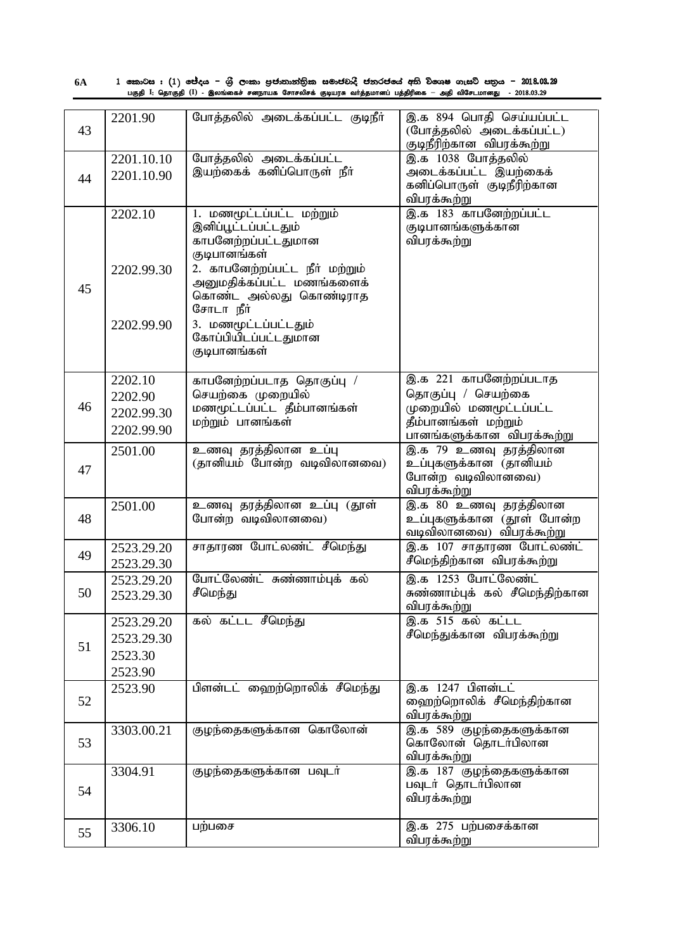| 6A |  |  |  |                                                                                                              |  |  | 1 කොටස : (1) ජේදය – ශුී ලංකා පුජාතාන්තික සමාජවාදී ජනරජයේ අති විශෙෂ ගැසට් පතුය – 2018.08.29 |
|----|--|--|--|--------------------------------------------------------------------------------------------------------------|--|--|--------------------------------------------------------------------------------------------|
|    |  |  |  | பகுதி I: தொகுதி (I) - இலங்கைச் சனநாயக சோசலிசக் குடியரசு வர்த்தமானப் பத்திரிகை — அதி விசேடமானது  - 2018.03.29 |  |  |                                                                                            |

| 43 | 2201.90    | போத்தலில் அடைக்கப்பட்ட குடிநீர்                 | இ.க 894 பொதி செய்யப்பட்ட<br>(போத்தலில் அடைக்கப்பட்ட)<br>குடிநீரிற்கான விபரக்கூற்று |
|----|------------|-------------------------------------------------|------------------------------------------------------------------------------------|
|    | 2201.10.10 | போத்தலில் அடைக்கப்பட்ட                          | இ.க 1038 போத்தலில்                                                                 |
|    | 2201.10.90 | இயற்கைக் கனிப்பொருள் நீா்                       | அடைக்கப்பட்ட இயற்கைக்                                                              |
| 44 |            |                                                 | கனிப்பொருள் குடிநீரிற்கான                                                          |
|    |            |                                                 | விபரக்கூற்று                                                                       |
|    | 2202.10    | 1. மணமூட்டப்பட்ட மற்றும்                        | இ.க 183 காபனேற்றப்பட்ட                                                             |
|    |            | இனிப்பூட்டப்பட்டதும்                            | குடிபானங்களுக்கான                                                                  |
|    |            | காபனேற்றப்பட்டதுமான                             | விபரக்கூற்று                                                                       |
|    |            | குடிபானங்கள்                                    |                                                                                    |
|    | 2202.99.30 | 2. காபனேற்றப்பட்ட நீர் மற்றும்                  |                                                                                    |
|    |            | அனுமதிக்கப்பட்ட மணங்களைக்                       |                                                                                    |
| 45 |            | கொண்ட அல்லது கொண்டிராத                          |                                                                                    |
|    |            | சோடா நீர்                                       |                                                                                    |
|    | 2202.99.90 | 3. மணமூட்டப்பட்டதும்                            |                                                                                    |
|    |            | கோப்பியிடப்பட்டதுமான                            |                                                                                    |
|    |            | குடிபானங்கள்                                    |                                                                                    |
|    |            |                                                 |                                                                                    |
|    | 2202.10    | காபனேற்றப்படாத தொகுப்பு /                       | இ.க 221 காபனேற்றப்படாத                                                             |
|    | 2202.90    | செயற்கை முறையில்                                | தொகுப்பு / செயற்கை                                                                 |
| 46 | 2202.99.30 | மணமூட்டப்பட்ட தீம்பானங்கள்                      | முறையில் மணமூட்டப்பட்ட                                                             |
|    | 2202.99.90 | மற்றும் பானங்கள்                                | தீம்பானங்கள் மற்றும்                                                               |
|    |            |                                                 | பானங்களுக்கான விபரக்கூற்று                                                         |
|    | 2501.00    | உணவு தரத்திலான உப்பு                            | இ.க 79 உணவு தரத்திலான                                                              |
| 47 |            | (தானியம் போன்ற வடிவிலானவை)                      | உப்புகளுக்கான (தானியம்                                                             |
|    |            |                                                 | போன்ற வடிவிலானவை)                                                                  |
|    |            |                                                 | விபரக்கூற்று                                                                       |
| 48 | 2501.00    | உணவு தரத்திலான உப்பு (தூள்<br>போன்ற வடிவிலானவை) | இ.க 80 உணவு தரத்திலான<br>உப்புகளுக்கான (தூள் போன்ற                                 |
|    |            |                                                 | வடிவிலானவை) விபரக்கூற்று                                                           |
|    | 2523.29.20 | சாதாரண போட்லண்ட் சீமெந்து                       | இ.க 107 சாதாரண போட்லண்ட்                                                           |
| 49 |            |                                                 | சீமெந்திற்கான விபரக்கூற்று                                                         |
|    | 2523.29.30 |                                                 |                                                                                    |
|    | 2523.29.20 | போட்லேண்ட் சுண்ணாம்புக் கல்<br>சீமெந்து         | இ.க 1253 போட்லேண்ட்<br>சுண்ணாம்புக் கல் சீமெந்திற்கான                              |
| 50 | 2523.29.30 |                                                 | விபரக்கூற்று                                                                       |
|    | 2523.29.20 | கல் கட்டட சீமெந்து                              | இ.க 515 கல் கட்டட                                                                  |
|    | 2523.29.30 |                                                 | சீமெந்துக்கான விபரக்கூற்று                                                         |
| 51 | 2523.30    |                                                 |                                                                                    |
|    |            |                                                 |                                                                                    |
|    | 2523.90    |                                                 |                                                                                    |
| 52 | 2523.90    | பிளன்டட் ஹைற்றொலிக் சீமெந்து                    | இ.க 1247 பிளன்டட்<br>ஹைற்றொலிக் சீமெந்திற்கான                                      |
|    |            |                                                 | விபரக்கூற்று                                                                       |
|    | 3303.00.21 | குழந்தைகளுக்கான கொலோன்                          | இ.க 589 குழந்தைகளுக்கான                                                            |
| 53 |            |                                                 | கொலோன் தொடர்பிலான                                                                  |
|    |            |                                                 | விபரக்கூற்று                                                                       |
|    | 3304.91    | குழந்தைகளுக்கான பவுடர்                          | இ.க 187 குழந்தைகளுக்கான                                                            |
|    |            |                                                 | பவுடர் தொடர்பிலான                                                                  |
| 54 |            |                                                 | விபரக்கூற்று                                                                       |
|    |            |                                                 |                                                                                    |
|    | 3306.10    | பற்பசை                                          | இ.க 275 பற்பசைக்கான                                                                |
| 55 |            |                                                 | விபரக்கூற்று                                                                       |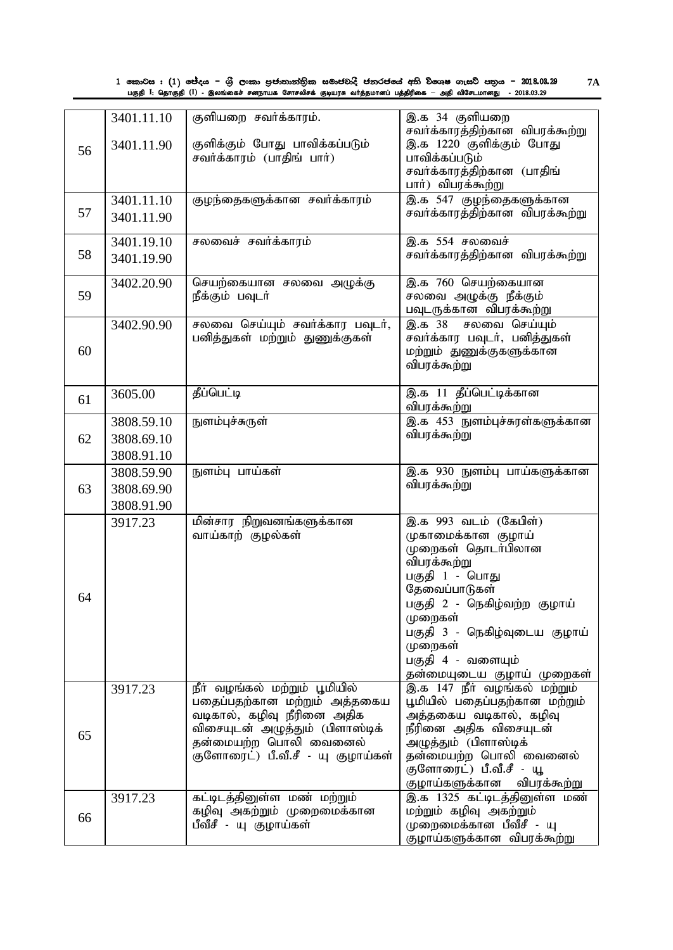| 1 කොටස : (1) ජේදය – ශුී ලංකා පුජාතාන්තික සමාජවාදී ජනරජයේ අති විශෙෂ ගැසට් පතුය – 2018.03.29                   |  |
|--------------------------------------------------------------------------------------------------------------|--|
| பகுதி I: தொகுதி (I) - இலங்கைச் சனநாயக சோசலிசக் குடியரசு வா்த்தமானப் பத்திரிகை — அதி விசேடமானது  - 2018.03.29 |  |

|    | 3401.11.10 | குளியறை சவர்க்காரம்.                                        | இ.க 34 குளியறை<br>சவர்க்காரத்திற்கான விபரக்கூற்று |
|----|------------|-------------------------------------------------------------|---------------------------------------------------|
| 56 | 3401.11.90 | குளிக்கும் போது பாவிக்கப்படும்<br>சவர்க்காரம் (பாதிங் பார்) | இ.க 1220 குளிக்கும் போது<br>பாவிக்கப்படும்        |
|    |            |                                                             | சவா்க்காரத்திற்கான (பாதிங்<br>பார்) விபரக்கூற்று  |
|    | 3401.11.10 | குழந்தைகளுக்கான சவர்க்காரம்                                 | இ.க 547 குழந்தைகளுக்கான                           |
| 57 |            |                                                             | சவா்க்காரத்திற்கான விபரக்கூற்று                   |
|    | 3401.11.90 |                                                             |                                                   |
|    | 3401.19.10 | சலவைச் சவர்க்காரம்                                          | இ.க 554 சலவைச்                                    |
| 58 | 3401.19.90 |                                                             | சவா்க்காரத்திற்கான விபரக்கூற்று                   |
|    | 3402.20.90 | செயற்கையான சலவை அழுக்கு                                     | இ.க 760 செயற்கையான                                |
| 59 |            | நீக்கும் பவுடா்                                             | சலவை அழுக்கு நீக்கும்                             |
|    |            |                                                             | பவுடருக்கான விபரக்கூற்று                          |
|    | 3402.90.90 | சலவை செய்யும் சவர்க்கார பவுடர்,                             | இ.க 38 சலவை செய்யும்                              |
|    |            | பனித்துகள் மற்றும் துணுக்குகள்                              | சவர்க்கார பவுடர், பனித்துகள்                      |
| 60 |            |                                                             | மற்றும் துணுக்குகளுக்கான                          |
|    |            |                                                             | விபரக்கூற்று                                      |
|    | 3605.00    | தீப்பெட்டி                                                  | இ.க 11 தீப்பெட்டிக்கான                            |
| 61 |            |                                                             | விபரக்கூற்று                                      |
|    | 3808.59.10 | நுளம்புச்சுருள்                                             | இ.க 453 நுளம்புச்சுரள்களுக்கான                    |
| 62 | 3808.69.10 |                                                             | விபரக்கூற்று                                      |
|    | 3808.91.10 |                                                             |                                                   |
|    | 3808.59.90 | நுளம்பு பாய்கள்                                             | இ.க 930 நுளம்பு பாய்களுக்கான                      |
| 63 | 3808.69.90 |                                                             | விபரக்கூற்று                                      |
|    | 3808.91.90 |                                                             |                                                   |
|    |            | மின்சார நிறுவனங்களுக்கான                                    | இ.க 993 வடம் (கேபிள்)                             |
|    | 3917.23    | வாய்காற் குழல்கள்                                           | முகாமைக்கான குழாய்                                |
|    |            |                                                             | முறைகள் தொடர்பிலான                                |
|    |            |                                                             | விபரக்கூற்று                                      |
|    |            |                                                             | பகுதி 1 - பொது                                    |
|    |            |                                                             | தேவைப்பாடுகள்                                     |
| 64 |            |                                                             | பகுதி 2 - நெகிழ்வற்ற குழாய்                       |
|    |            |                                                             | முறைகள்                                           |
|    |            |                                                             | பகுதி 3 - நெகிழ்வுடைய குழாய்                      |
|    |            |                                                             | முறைகள்                                           |
|    |            |                                                             | பகுதி 4 - வளையும்                                 |
|    |            |                                                             | தன்மையுடைய குழாய் முறைகள்                         |
|    | 3917.23    | நீா் வழங்கல் மற்றும் பூமியில்                               | .<br>இ.க 147 நீா் வழங்கல் மற்றும்                 |
|    |            | பதைப்பதற்கான மற்றும் அத்தகைய                                | பூமியில் பதைப்பதற்கான மற்றும்                     |
|    |            | வடிகால், கழிவு நீரினை அதிக                                  | அத்தகைய வடிகால், கழிவு                            |
| 65 |            | விசையுடன் அழுத்தும் (பிளாஸ்டிக்                             | நீரினை அதிக விசையுடன்                             |
|    |            | தன்மையற்ற பொலி வைனைல்                                       | அழுத்தும் (பிளாஸ்டிக்                             |
|    |            | .<br>குளோரைட்) பீ.வீ.சீ - யு குழாய்கள்                      | தன்மையற்ற பொலி வைனைல்                             |
|    |            |                                                             | குளோரைட்) பீ.வீ.சீ - யூ                           |
|    |            |                                                             | குழாய்களுக்கான<br>விபரக்கூற்று                    |
|    | 3917.23    | கட்டிடத்தினுள்ள மண் மற்றும்                                 | இ.க 1325 கட்டிடத்தினுள்ள மண்                      |
| 66 |            | கழிவு அகற்றும் முறைமைக்கான<br>பீவீசீ - யு குழாய்கள்         | மற்றும் கழிவு அகற்றும்<br>முறைமைக்கான பீவீசீ - யு |
|    |            |                                                             | குழாய்களுக்கான விபரக்கூற்று                       |
|    |            |                                                             |                                                   |

**7A**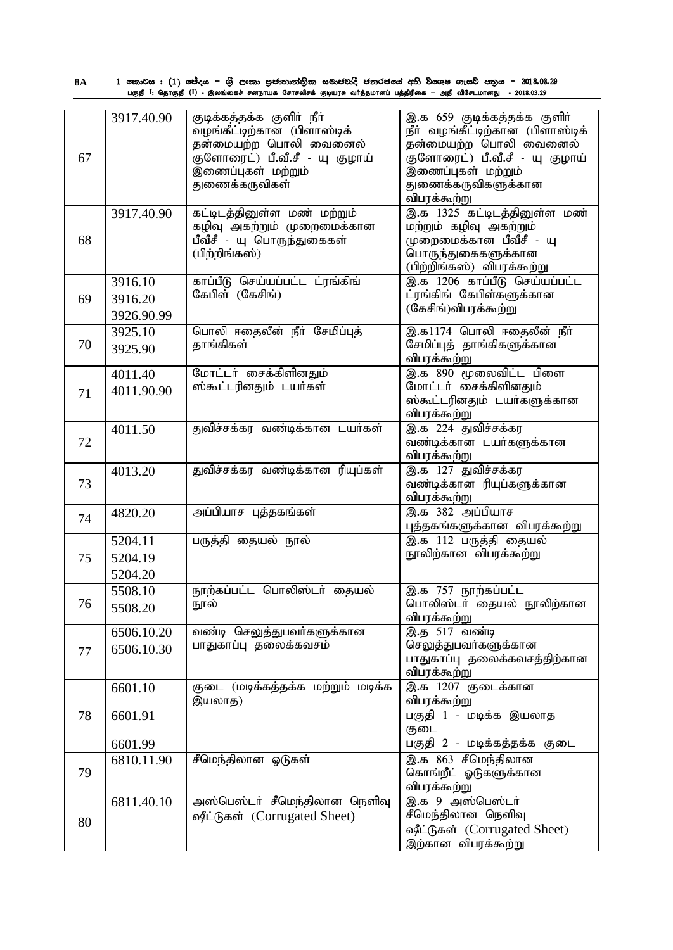1 කොටස : (1) ජේදය – ශුී ලංකා පුජාතාන්තික සමාජවාදී ජනරජයේ අති විශෙෂ ගැසට් පතුය – 2018.03.29 பகுதி I: தொகுதி (I) - இலங்கைச் சனநாயக சோசலிசக் குடியரசு வா்த்தமானப் பத்திரிகை — அதி விசேடமானது - 2018.03.29 **8A**

| 67 | 3917.40.90                       | குடிக்கத்தக்க குளிர் நீர்<br>வழங்கீட்டிற்கான (பிளாஸ்டிக்<br>தன்மையற்ற பொலி வைனைல்<br>குளோரைட்) பீ.வீ.சீ - யு குழாய்<br>இணைப்புகள் மற்றும்<br>துணைக்கருவிகள் | இ.க 659 குடிக்கத்தக்க குளிர்<br>நீா் வழங்கீட்டிற்கான (பிளாஸ்டிக்<br>தன்மையற்ற பொலி வைனைல்<br>குளோரைட்) பீ.வீ.சீ - யு குழாய்<br>இணைப்புகள் மற்றும்<br>துணைக்கருவிகளுக்கான<br>விபரக்கூற்று |
|----|----------------------------------|-------------------------------------------------------------------------------------------------------------------------------------------------------------|------------------------------------------------------------------------------------------------------------------------------------------------------------------------------------------|
| 68 | 3917.40.90                       | கட்டிடத்தினுள்ள மண் மற்றும்<br>கழிவு அகற்றும் முறைமைக்கான<br>பீவீசீ - யு பொருந்துகைகள்<br>(பிற்றிங்கஸ்)                                                     | இ.க 1325 கட்டிடத்தினுள்ள மண்<br>மற்றும் கழிவு அகற்றும்<br>முறைமைக்கான பீவீசீ - யு<br>பொருந்துகைகளுக்கான<br>(பிற்றிங்கஸ்) விபரக்கூற்று                                                    |
| 69 | 3916.10<br>3916.20<br>3926.90.99 | காப்பீடு செய்யப்பட்ட ட்ரங்கிங்<br>கேபிள் (கேசிங்)                                                                                                           | இ.க 1206 காப்பீடு செய்யப்பட்ட<br>ட்ரங்கிங் கேபிள்களுக்கான<br>(கேசிங்)விபரக்கூற்று                                                                                                        |
| 70 | 3925.10<br>3925.90               | பொலி ஈதைலீன் நீா் சேமிப்புத்<br>தாங்கிகள்                                                                                                                   | இ.க1174 பொலி ஈதைலீன் நீர்<br>சேமிப்புத் தாங்கிகளுக்கான<br>விபரக்கூற்று                                                                                                                   |
| 71 | 4011.40<br>4011.90.90            | மோட்டர் சைக்கிளினதும்<br>ஸ்கூட்டரினதும் டயர்கள்                                                                                                             | இ.க 890 மூலைவிட்ட பிளை<br>மோட்டர் சைக்கிளினதும்<br>ஸ்கூட்டரினதும் டயர்களுக்கான<br>விபரக்கூற்று                                                                                           |
| 72 | 4011.50                          | துவிச்சக்கர வண்டிக்கான டயர்கள்                                                                                                                              | இ.க 224 துவிச்சக்கர<br>வண்டிக்கான டயர்களுக்கான<br>விபரக்கூற்று                                                                                                                           |
| 73 | 4013.20                          | துவிச்சக்கர வண்டிக்கான ரியுப்கள்                                                                                                                            | இ.க <sup>127</sup> துவிச்சக்கர<br>வண்டிக்கான ரியுப்களுக்கான<br>விபரக்கூற்று                                                                                                              |
| 74 | 4820.20                          | அப்பியாச புத்தகங்கள்                                                                                                                                        | இ.க 382 அப்பியாச<br>புத்தகங்களுக்கான விபரக்கூற்று                                                                                                                                        |
| 75 | 5204.11<br>5204.19<br>5204.20    | பருத்தி தையல் நூல்                                                                                                                                          | இ.க 112 பருத்தி தையல்<br>நூலிற்கான விபரக்கூற்று                                                                                                                                          |
| 76 | 5508.10<br>5508.20               | நூற்கப்பட்ட பொலிஸ்டர் தையல்<br>நூல்                                                                                                                         | இ.க 757 நூற்கப்பட்ட<br>பொலிஸ்டர் தையல் நூலிற்கான<br>விபரக்கூற்று                                                                                                                         |
| 77 | 6506.10.20<br>6506.10.30         | வண்டி செலுத்துபவர்களுக்கான<br>பாதுகாப்பு தலைக்கவசம்                                                                                                         | இ.த 517 வண்டி<br>செலுத்துபவர்களுக்கான<br>பாதுகாப்பு தலைக்கவசத்திற்கான<br>விபரக்கூற்று                                                                                                    |
| 78 | 6601.10<br>6601.91<br>6601.99    | குடை (மடிக்கத்தக்க மற்றும் மடிக்க<br>இயலாத)                                                                                                                 | <u>இ.க</u> 1207 குடைக்கான<br>விபரக்கூற்று<br>பகுதி 1 - மடிக்க இயலாத<br>குடை<br>பகுதி 2 - மடிக்கத்தக்க குடை                                                                               |
| 79 | 6810.11.90                       | சீமெந்திலான ஓடுகள்                                                                                                                                          | இ.க 863 சீமெந்திலான<br>கொங்றீட் ஓடுகளுக்கான<br>விபரக்கூற்று                                                                                                                              |
| 80 | 6811.40.10                       | அஸ்பெஸ்டர் சீமெந்திலான நெளிவு<br>ஷீட்டுகள் (Corrugated Sheet)                                                                                               | இ.க 9 அஸ்பெஸ்டர்<br>சீமெந்திலான நெளிவு<br>ஷீட்டுகள் (Corrugated Sheet)<br>இற்கான விபரக்கூற்று                                                                                            |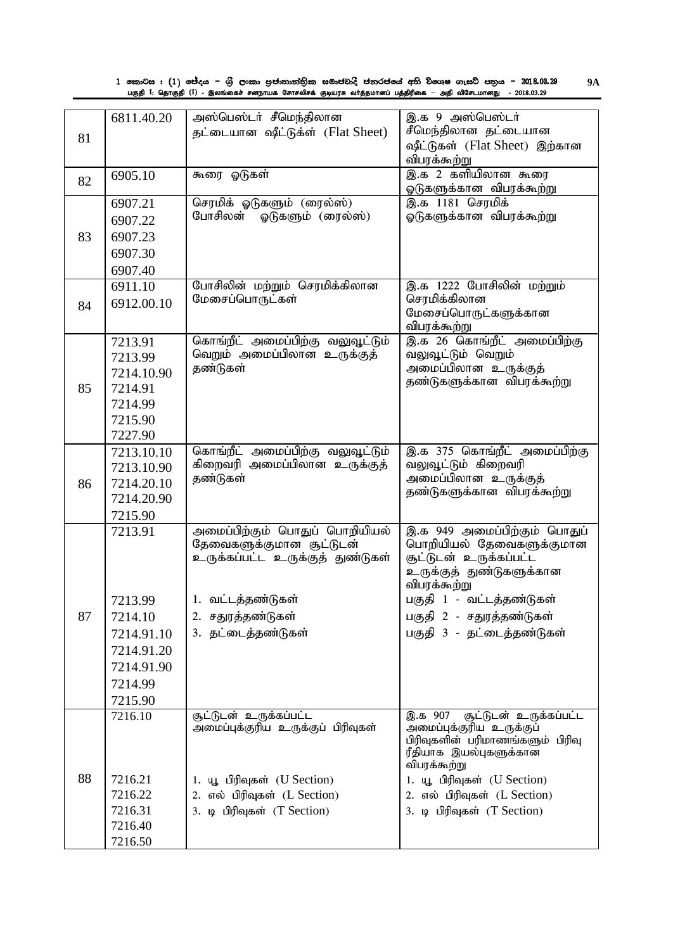| 1 කොටස : (1) ජේදය – ශුී ලංකා පුජාතාන්තික සමාජවාදී ජනරජයේ අති විශෙෂ ගැසට් පතුය – 2018.03.29                   | <b>9A</b> |
|--------------------------------------------------------------------------------------------------------------|-----------|
| பகுதி I: தொகுதி (I) - இலங்கைச் சனநாயக சோசலிசக் குடியரசு வர்த்தமானப் பத்திரிகை — அதி விசேடமானது  - 2018.03.29 |           |

|    | 6811.40.20 | அஸ்பெஸ்டர் சீமெந்திலான             | இ.க 9 அஸ்பெஸ்டர்                                             |
|----|------------|------------------------------------|--------------------------------------------------------------|
| 81 |            | தட்டையான ஷீட்டுக்ள் (Flat Sheet)   | சீமெந்திலான தட்டையான                                         |
|    |            |                                    | ஷீட்டுகள் (Flat Sheet) இற்கான                                |
|    |            |                                    | விபரக்கூற்று<br>இ.க 2 களியிலான கூரை                          |
| 82 | 6905.10    | கூரை ஓடுகள்                        | ஓடுகளுக்கான விபரக்கூற்று                                     |
|    | 6907.21    | செரமிக் ஓடுகளும் (ரைல்ஸ்)          | இ.க <sup>1181</sup> செரமிக்                                  |
|    | 6907.22    | போசிலன்<br>ஓடுகளும் (ரைல்ஸ்)       | ஓடுகளுக்கான விபரக்கூற்று                                     |
| 83 | 6907.23    |                                    |                                                              |
|    | 6907.30    |                                    |                                                              |
|    | 6907.40    |                                    |                                                              |
|    | 6911.10    | போசிலின் மற்றும் செரமிக்கிலான      | இ.க 1222 போசிலின் மற்றும்                                    |
| 84 | 6912.00.10 | மேசைப்பொருட்கள்                    | செரமிக்கிலான                                                 |
|    |            |                                    | மேசைப்பொருட்களுக்கான                                         |
|    | 7213.91    | கொங்றீட் அமைப்பிற்கு வலுவூட்டும்   | விபரக்கூற்று<br>இ.க 26 கொங்றீட் அமைப்பிற்கு                  |
|    | 7213.99    | வெறும் அமைப்பிலான உருக்குத்        | வலுவூட்டும் வெறும்                                           |
|    | 7214.10.90 | தண்டுகள்                           | அமைப்பிலான உருக்குத்                                         |
| 85 | 7214.91    |                                    | தண்டுகளுக்கான விபரக்கூற்று                                   |
|    | 7214.99    |                                    |                                                              |
|    | 7215.90    |                                    |                                                              |
|    | 7227.90    |                                    |                                                              |
|    | 7213.10.10 | கொங்றீட் அமைப்பிற்கு வலுவூட்டும்   | இ.க 375 கொங்றீட் அமைப்பிற்கு                                 |
|    | 7213.10.90 | கிறைவரி அமைப்பிலான உருக்குத்       | வலுவூட்டும் கிறைவரி                                          |
| 86 | 7214.20.10 | தண்டுகள்                           | அமைப்பிலான உருக்குத்                                         |
|    | 7214.20.90 |                                    | தண்டுகளுக்கான விபரக்கூற்று                                   |
|    | 7215.90    |                                    |                                                              |
|    | 7213.91    | அமைப்பிற்கும் பொதுப் பொறியியல்     | இ.க 949 அமைப்பிற்கும் பொதுப்                                 |
|    |            | தேவைகளுக்குமான சூட்டுடன்           | பொறியியல் தேவைகளுக்குமான<br>சூட்டுடன் உருக்கப்பட்ட           |
|    |            | உருக்கப்பட்ட உருக்குத் துண்டுகள்   | உருக்குத் துண்டுகளுக்கான                                     |
|    |            |                                    | விபரக்கூற்று                                                 |
|    | 7213.99    | 1. வட்டத்தண்டுகள்                  | பகுதி 1 - வட்டத்தண்டுகள்                                     |
| 87 | 7214.10    | 2. சதுரத்தண்டுகள்                  | பகுதி 2 - சதுரத்தண்டுகள்                                     |
|    | 7214.91.10 | 3. தட்டைத்தண்டுகள்                 | பகுதி 3 - தட்டைத்தண்டுகள்                                    |
|    | 7214.91.20 |                                    |                                                              |
|    | 7214.91.90 |                                    |                                                              |
|    | 7214.99    |                                    |                                                              |
|    | 7215.90    |                                    |                                                              |
|    | 7216.10    | சூட்டுடன் உருக்கப்பட்ட             | இ.க 907<br>சூட்டுடன் உருக்கப்பட்ட                            |
|    |            | அமைப்புக்குரிய உருக்குப் பிரிவுகள் | அமைப்புக்குரிய உருக்குப்<br>பிரிவுகளின் பரிமாணங்களும் பிரிவு |
|    |            |                                    | ரீதியாக இயல்புகளுக்கான                                       |
|    |            |                                    | விபரக்கூற்று                                                 |
| 88 | 7216.21    | 1. யூ பிரிவுகள் (U Section)        | 1. யூ பிரிவுகள் (U Section)                                  |
|    | 7216.22    | 2. எல் பிரிவுகள் (L Section)       | 2. எல் பிரிவுகள் (L Section)                                 |
|    | 7216.31    | 3. டி பிரிவுகள் (T Section)        | 3. டி பிரிவுகள் (T Section)                                  |
|    | 7216.40    |                                    |                                                              |
|    | 7216.50    |                                    |                                                              |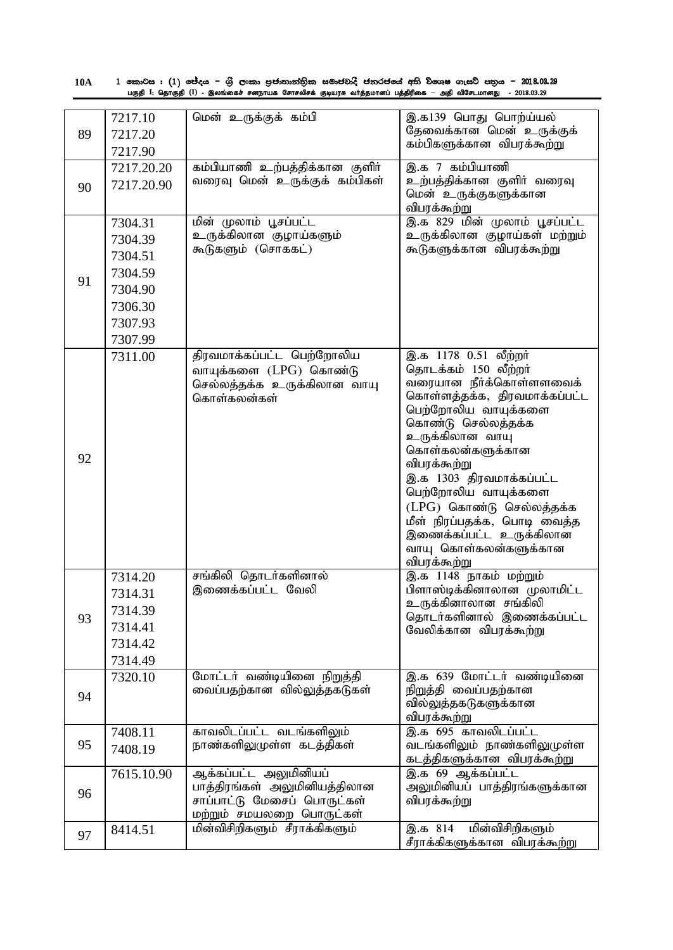| <b>10A</b> | 1 කොටස : (1) ජේදය – ශුී ලංකා පුජාතාන්තික සමාජවාදී ජනරජයේ අති විශෙෂ ගැසට් පතුය – 2018.03.29                   |
|------------|--------------------------------------------------------------------------------------------------------------|
|            | பகுதி I: தொகுதி (I) - இலங்கைச் சனநாயக சோசலிசக் குடியரசு வா்த்தமானப் பத்திரிகை — அதி விசேடமானது  - 2018.03.29 |

| 89 | 7217.10<br>7217.20<br>7217.90                                                        | மென் உருக்குக் கம்பி                                                                                             | இ.க139 பொது பொற்ய்யல்<br>தேவைக்கான மென் உருக்குக்<br>கம்பிகளுக்கான விபரக்கூற்று                                                                                                                                                                                                                                                                                                                |
|----|--------------------------------------------------------------------------------------|------------------------------------------------------------------------------------------------------------------|------------------------------------------------------------------------------------------------------------------------------------------------------------------------------------------------------------------------------------------------------------------------------------------------------------------------------------------------------------------------------------------------|
| 90 | 7217.20.20<br>7217.20.90                                                             | கம்பியாணி உற்பத்திக்கான குளிர்<br>வரைவு மென் உருக்குக் கம்பிகள்                                                  | இ.க 7 கம்பியாணி<br>உற்பத்திக்கான குளிர் வரைவு<br>மென் உருக்குகளுக்கான<br>விபரக்கூற்று                                                                                                                                                                                                                                                                                                          |
| 91 | 7304.31<br>7304.39<br>7304.51<br>7304.59<br>7304.90<br>7306.30<br>7307.93<br>7307.99 | மின் முலாம் பூசப்பட்ட<br>உருக்கிலான குழாய்களும்<br>கூடுகளும் (சொககட்)                                            | <u>இ.க 829 மின் முலாம் பூசப்பட்ட</u><br>உருக்கிலான குழாய்கள் மற்றும்<br>கூடுகளுக்கான விபரக்கூற்று                                                                                                                                                                                                                                                                                              |
| 92 | 7311.00                                                                              | திரவமாக்கப்பட்ட பெற்றோலிய<br>வாயுக்களை (LPG) கொண்டு<br>செல்லத்தக்க உருக்கிலான வாயு<br>கொள்கலன்கள்                | இ.க 1178 0.51 லீற்றர்<br>தொடக்கம் 150 லீற்றர்<br>வரையான நீர்க்கொள்ளளவைக்<br>கொள்ளத்தக்க, திரவமாக்கப்பட்ட<br>பெற்றோலிய வாயுக்களை<br>கொண்டு செல்லத்தக்க<br>உருக்கிலான வாயு<br>கொள்கலன்களுக்கான<br>விபரக்கூற்று<br>இ.க 1303 திரவமாக்கப்பட்ட<br>பெற்றோலிய வாயுக்களை<br>(LPG) கொண்டு செல்லத்தக்க<br>மீள் நிரப்பதக்க, பொடி வைத்த<br>இணைக்கப்பட்ட உருக்கிலான<br>வாயு கொள்கலன்களுக்கான<br>விபரக்கூற்று |
| 93 | 7314.20<br>7314.31<br>7314.39<br>7314.41<br>7314.42<br>7314.49                       | சங்கிலி தொடர்களினால்<br>இணைக்கப்பட்ட வேலி                                                                        | இ.க 1148 நாகம் மற்றும்<br>பிளாஸ்டிக்கினாலான முலாமிட்ட<br>உருக்கினாலான சங்கிலி<br>தொடர்களினால் இணைக்கப்பட்ட<br>வேலிக்கான விபரக்கூற்று                                                                                                                                                                                                                                                           |
| 94 | 7320.10                                                                              | மோட்டர் வண்டியினை நிறுத்தி<br>வைப்பதற்கான வில்லுத்தகடுகள்                                                        | இ.க 639 மோட்டர் வண்டியினை<br>நிறுத்தி வைப்பதற்கான<br>வில்லுத்தகடுகளுக்கான<br>விபரக்கூற்று                                                                                                                                                                                                                                                                                                      |
| 95 | 7408.11<br>7408.19                                                                   | காவலிடப்பட்ட வடங்களிலும்<br>நாண்களிலுமுள்ள கடத்திகள்                                                             | இ.க 695 காவலிடப்பட்ட<br>வடங்களிலும் நாண்களிலுமுள்ள<br>கடத்திகளுக்கான விபரக்கூற்று                                                                                                                                                                                                                                                                                                              |
| 96 | 7615.10.90                                                                           | ஆக்கப்பட்ட அலுமினியப்<br>பாத்திரங்கள் அலுமினியத்திலான<br>சாப்பாட்டு மேசைப் பொருட்கள்<br>மற்றும் சமயலறை பொருட்கள் | இ.க 69 ஆக்கப்பட்ட<br>அலுமினியப் பாத்திரங்களுக்கான<br>விபரக்கூற்று                                                                                                                                                                                                                                                                                                                              |
| 97 | 8414.51                                                                              | மின்விசிறிகளும் சீராக்கிகளும்                                                                                    | மின்விசிறிகளும்<br>இ.க 814<br>சீராக்கிகளுக்கான விபரக்கூற்று                                                                                                                                                                                                                                                                                                                                    |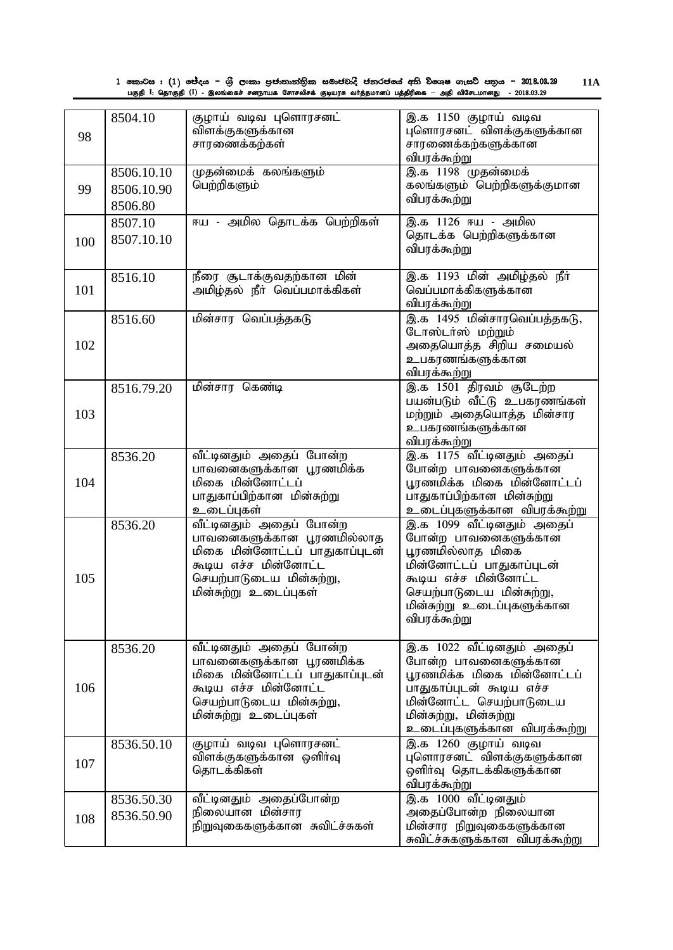1 කොටස : (1) ජේදය – ශුී ලංකා පුජාතාන්තික සමාජවාදී ජනරජයේ අති විශෙෂ ගැසට් පතුය – 2018.03.29 பகுதி I: தொகுதி (I) - இலங்கைச் சனநாயக சோசலிசக் குடியரசு வா்த்தமானப் பத்திரிகை — அதி விசேடமானது - 2018.03.29 **11A**

| 98  | 8504.10                             | குழாய் வடிவ புளொரசனட்<br>விளக்குகளுக்கான<br>சாரணைக்கற்கள்                                                                                                           | இ.க 1150 குழாய் வடிவ<br>புளொரசனட் விளக்குகளுக்கான<br>சாரணைக்கற்களுக்கான<br>விபரக்கூற்று                                                                                                              |
|-----|-------------------------------------|---------------------------------------------------------------------------------------------------------------------------------------------------------------------|------------------------------------------------------------------------------------------------------------------------------------------------------------------------------------------------------|
| 99  | 8506.10.10<br>8506.10.90<br>8506.80 | முதன்மைக் கலங்களும்<br>பெற்றிகளும்                                                                                                                                  | <u>இ.க 1198 முதன்மைக்</u><br>கலங்களும் பெற்றிகளுக்குமான<br>விபரக்கூற்று                                                                                                                              |
| 100 | 8507.10<br>8507.10.10               | ஈய - அமில தொடக்க பெற்றிகள்                                                                                                                                          | இ.க 1126 ஈய - அமில<br>தொடக்க பெற்றிகளுக்கான<br>விபரக்கூற்று                                                                                                                                          |
| 101 | 8516.10                             | நீரை சூடாக்குவதற்கான மின்<br>அமிழ்தல் நீா் வெப்பமாக்கிகள்                                                                                                           | இ.க 1193 மின் அமிழ்தல் நீா்<br>வெப்பமாக்கிகளுக்கான<br>விபரக்கூற்று                                                                                                                                   |
| 102 | 8516.60                             | மின்சார வெப்பத்தகடு                                                                                                                                                 | இ.க 1495 மின்சாரவெப்பத்தகடு,<br>டோஸ்டர்ஸ் மற்றும்<br>அதையொத்த சிறிய சமையல்<br>உபகரணங்களுக்கான<br>விபரக்கூற்று                                                                                        |
| 103 | 8516.79.20                          | மின்சார கெண்டி                                                                                                                                                      | இ.க 1501 திரவம் சூடேற்ற<br>பயன்படும் வீட்டு உபகரணங்கள்<br>மற்றும் அதையொத்த மின்சார<br>உபகரணங்களுக்கான<br>விபரக்கூற்று                                                                                |
| 104 | 8536.20                             | வீட்டினதும் அதைப் போன்ற<br>பாவனைகளுக்கான பூரணமிக்க<br>மிகை மின்னோட்டப்<br>பாதுகாப்பிற்கான மின்சுற்று<br>உடைப்புகள்                                                  | இ.க 1175 வீட்டினதும் அதைப்<br>போன்ற பாவனைகளுக்கான<br>பூரணமிக்க மிகை மின்னோட்டப்<br>பாதுகாப்பிற்கான மின்சுற்று<br>உடைப்புகளுக்கான <u>விபரக்கூற்ற</u> ு                                                |
| 105 | 8536.20                             | வீட்டினதும் அதைப் போன்ற<br>பாவனைகளுக்கான பூரணமில்லாத<br>மிகை மின்னோட்டப் பாதுகாப்புடன்<br>கூடிய எச்ச மின்னோட்ட<br>செயற்பாடுடைய மின்சுற்று,<br>மின்சுற்று உடைப்புகள் | இ.க 1099 வீட்டினதும் அதைப்<br>போன்ற பாவனைகளுக்கான<br>பூரணமில்லாத மிகை<br>மின்னோட்டப் பாதுகாப்புடன்<br>கூடிய எச்ச மின்னோட்ட<br>செயற்பாடுடைய மின்சுற்று,<br>மின்சுற்று உடைப்புகளுக்கான<br>விபரக்கூற்று |
| 106 | 8536.20                             | வீட்டினதும் அதைப் போன்ற<br>பாவனைகளுக்கான பூரணமிக்க<br>மிகை மின்னோட்டப் பாதுகாப்புடன்<br>கூடிய எச்ச மின்னோட்ட<br>செயற்பாடுடைய மின்சுற்று,<br>மின்சுற்று உடைப்புகள்   | இ.க 1022 வீட்டினதும் அதைப்<br>போன்ற பாவனைகளுக்கான<br>பூரணமிக்க மிகை மின்னோட்டப்<br>பாதுகாப்புடன் கூடிய எச்ச<br>மின்னோட்ட செயற்பாடுடைய<br>மின்சுற்று, மின்சுற்று<br>உடைப்புகளுக்கான விபரக்கூற்று      |
| 107 | 8536.50.10                          | குழாய் வடிவ புளொரசனட்<br>விளக்குகளுக்கான ஒளிர்வு<br>தொடக்கிகள்                                                                                                      | இ.க 1260 குழாய் வடிவ<br>புளொரசனட் விளக்குகளுக்கான<br>ஒளிர்வு தொடக்கிகளுக்கான<br>விபரக்கூற்று                                                                                                         |
| 108 | 8536.50.30<br>8536.50.90            | வீட்டினதும் அதைப்போன்ற<br>நிலையான மின்சார<br>நிறுவுகைகளுக்கான சுவிட்ச்சுகள்                                                                                         | இ.க 1000 வீட்டினதும்<br>அதைப்போன்ற நிலையான<br>மின்சார நிறுவுகைகளுக்கான<br>சுவிட்ச்சுகளுக்கான விபரக்கூற்று                                                                                            |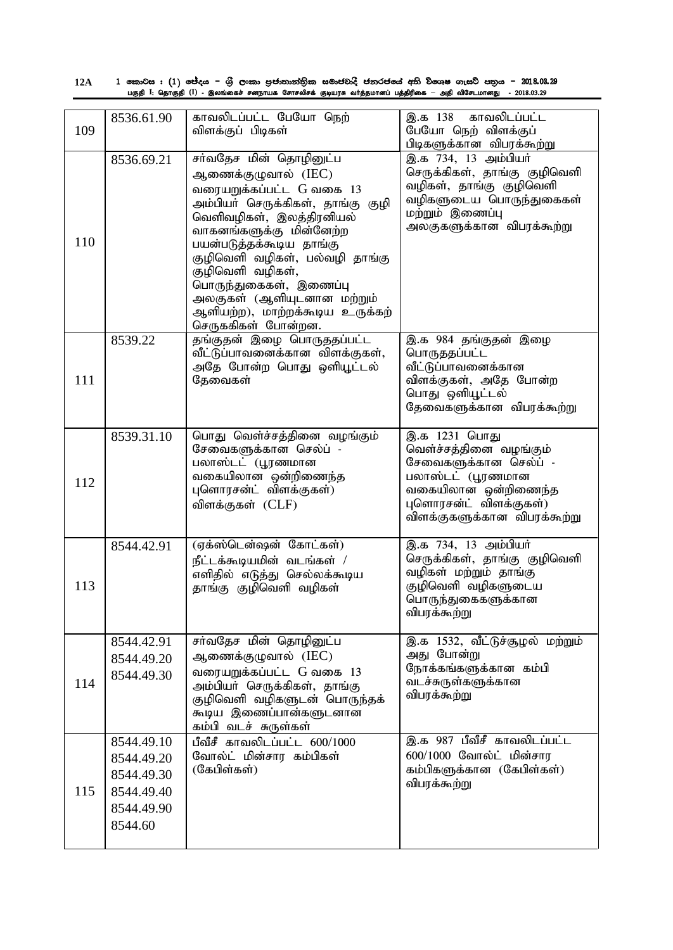| 12A | 1 කොටස : (1) ජේදය – ශුී ලංකා පුජාතාන්තික සමාජවාදී ජනරජයේ අති විශෙෂ ගැසට් පතුය – 2018.08.29                   |  |
|-----|--------------------------------------------------------------------------------------------------------------|--|
|     | பகுதி I: தொகுதி (I) - இலங்கைச் சனநாயக சோசலிசக் குடியரசு வா்த்தமானப் பத்திரிகை — அதி விசேடமானது  - 2018.03.29 |  |

| 109 | 8536.61.90                                                                    | காவலிடப்பட்ட பேயோ நெற்<br>விளக்குப் பிடிகள்                                                                                                                                                                                                                                                                                                                              | காவலிடப்பட்ட<br>இ.க 138<br>பேயோ நெற் விளக்குப்<br>பிடிகளுக்கான விபரக்கூற்று                                                                                            |
|-----|-------------------------------------------------------------------------------|--------------------------------------------------------------------------------------------------------------------------------------------------------------------------------------------------------------------------------------------------------------------------------------------------------------------------------------------------------------------------|------------------------------------------------------------------------------------------------------------------------------------------------------------------------|
| 110 | 8536.69.21                                                                    | சா்வதேச மின் தொழினுட்ப<br>ஆணைக்குழுவால் (IEC)<br>வரையறுக்கப்பட்ட G வகை 13<br>அம்பியா் செருக்கிகள், தாங்கு குழி<br>வெளிவழிகள், இலத்திரனியல்<br>வாகனங்களுக்கு மின்னேற்ற<br>பயன்படுத்தக்கூடிய தாங்கு<br>குழிவெளி வழிகள், பல்வழி தாங்கு<br>குழிவெளி வழிகள்,<br>பொருந்துகைகள், இணைப்பு<br>அலகுகள் (ஆளியுடனான மற்றும்<br>ஆளியற்ற), மாற்றக்கூடிய உருக்கற்<br>செருககிகள் போன்றன. | இ.க 734, 13 அம்பியர்<br>செருக்கிகள், தாங்கு குழிவெளி<br>வழிகள், தாங்கு குழிவெளி<br>வழிகளுடைய பொருந்துகைகள்<br>மற்றும் இணைப்பு<br>அலகுகளுக்கான விபரக்கூற்று             |
| 111 | 8539.22                                                                       | தங்குதன் இழை பொருததப்பட்ட<br>வீட்டுப்பாவனைக்கான விளக்குகள்,<br>அதே போன்ற பொது ஒளியூட்டல்<br>தேவைகள்                                                                                                                                                                                                                                                                      | இ.க 984 தங்குதன் இழை<br>பொருததப்பட்ட<br>வீட்டுப்பாவனைக்கான<br>விளக்குகள், அதே போன்ற<br>பொது ஒளியூட்டல்<br>தேவைகளுக்கான விபரக்கூற்று                                    |
| 112 | 8539.31.10                                                                    | பொது வெள்ச்சத்தினை வழங்கும்<br>சேவைகளுக்கான செல்ப் -<br>பலாஸ்டட் (பூரணமான<br>வகையிலான ஒன்றிணைந்த<br>புளொரசன்ட் விளக்குகள்)<br>விளக்குகள் (CLF)                                                                                                                                                                                                                           | இ.க 1231 பொது<br>வெள்ச்சத்தினை வழங்கும்<br>சேவைகளுக்கான செல்ப் -<br>பலாஸ்டட் (பூரணமான<br>வகையிலான ஒன்றிணைந்த<br>புளொரசன்ட் விளக்குகள்)<br>விளக்குகளுக்கான விபரக்கூற்று |
| 113 | 8544.42.91                                                                    | (ஏக்ஸ்டென்ஷன் கோட்கள்)<br>நீட்டக்கூடியமின் வடங்கள் /<br>எளிதில் எடுத்து செல்லக்கூடிய<br>தாங்கு குழிவெளி வழிகள்                                                                                                                                                                                                                                                           | இ.க 734, 13 அம்பியர்<br>செருக்கிகள், தாங்கு குழிவெளி<br>வழிகள் மற்றும் தாங்கு<br>குழிவெளி வழிகளுடைய<br>பொருந்துகைகளுக்கான<br>விபரக்கூற்று                              |
| 114 | 8544.42.91<br>8544.49.20<br>8544.49.30                                        | சர்வதேச மின் தொழினுட்ப<br>ஆணைக்குழுவால் (IEC)<br>வரையறுக்கப்பட்ட G வகை 13<br>அம்பியா் செருக்கிகள், தாங்கு<br>குழிவெளி வழிகளுடன் பொருந்தக்<br>கூடிய இணைப்பான்களுடனான<br>கம்பி வடச் சுருள்கள்                                                                                                                                                                              | இ.க 1532, வீட்டுச்சூழல் மற்றும்<br>அது போன்று<br>நோக்கங்களுக்கான கம்பி<br>வடச்சுருள்களுக்கான<br>விபரக்கூற்று                                                           |
| 115 | 8544.49.10<br>8544.49.20<br>8544.49.30<br>8544.49.40<br>8544.49.90<br>8544.60 | பீவீசீ காவலிடப்பட்ட $600/1000$<br>வோல்ட் மின்சார கம்பிகள்<br>(கேபிள்கள்)                                                                                                                                                                                                                                                                                                 | இ.க 987 பீவீசீ காவலிடப்பட்ட<br>600/1000 வோல்ட் மின்சார<br>கம்பிகளுக்கான (கேபிள்கள்)<br>விபரக்கூற்று                                                                    |